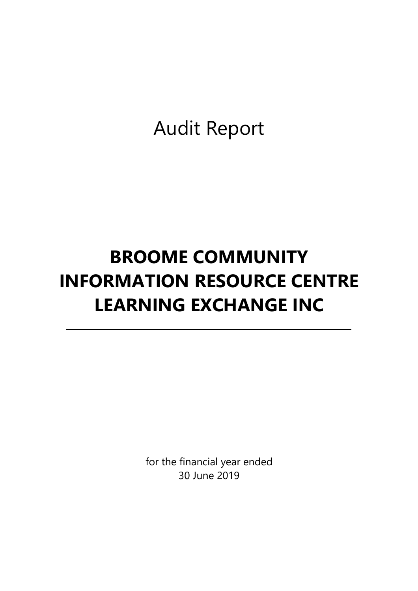# Audit Report

# **BROOME COMMUNITY INFORMATION RESOURCE CENTRE LEARNING EXCHANGE INC**

for the financial year ended 30 June 2019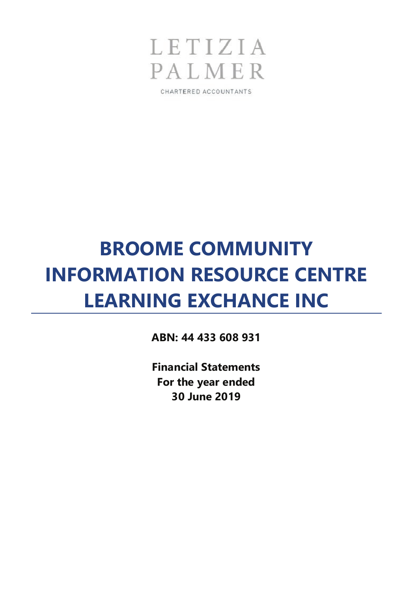

CHARTERED ACCOUNTANTS

# **BROOME COMMUNITY INFORMATION RESOURCE CENTRE LEARNING EXCHANCE INC**

ABN: 44 433 608 931

**Financial Statements** For the year ended 30 June 2019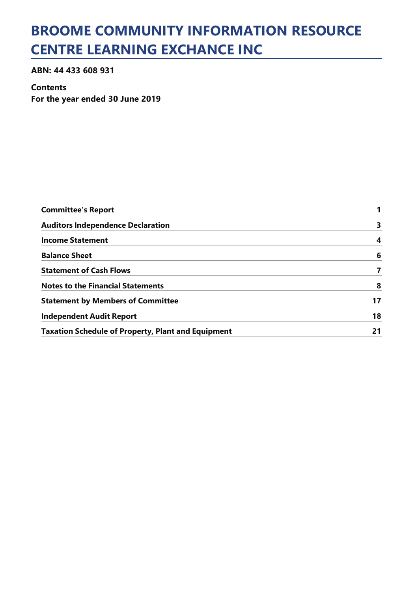ABN: 44 433 608 931

### **Contents**

For the year ended 30 June 2019

| <b>Committee's Report</b>                                 |    |
|-----------------------------------------------------------|----|
| <b>Auditors Independence Declaration</b>                  | 3  |
| <b>Income Statement</b>                                   | 4  |
| <b>Balance Sheet</b>                                      | 6  |
| <b>Statement of Cash Flows</b>                            |    |
| <b>Notes to the Financial Statements</b>                  | 8  |
| <b>Statement by Members of Committee</b>                  | 17 |
| <b>Independent Audit Report</b>                           | 18 |
| <b>Taxation Schedule of Property, Plant and Equipment</b> | 21 |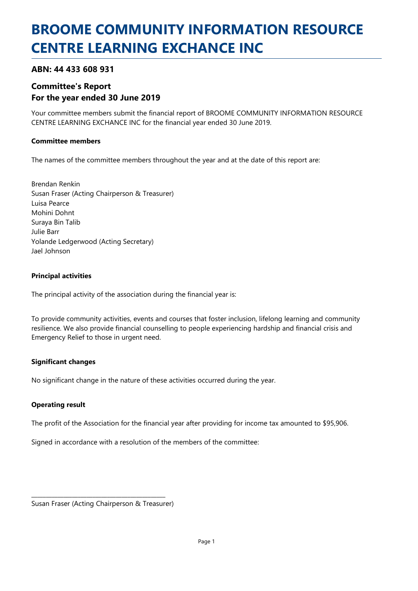### **ABN: 44 433 608 931**

### **Committee's Report For the year ended 30 June 2019**

 Your committee members submit the financial report of BROOME COMMUNITY INFORMATION RESOURCE CENTRE LEARNING EXCHANCE INC for the financial year ended 30 June 2019.

#### **Committee members**

The names of the committee members throughout the year and at the date of this report are:

Brendan Renkin Susan Fraser (Acting Chairperson & Treasurer) Luisa Pearce Mohini Dohnt Suraya Bin Talib Julie Barr Yolande Ledgerwood (Acting Secretary) Jael Johnson

#### **Principal activities**

The principal activity of the association during the financial year is:

To provide community activities, events and courses that foster inclusion, lifelong learning and community resilience. We also provide financial counselling to people experiencing hardship and financial crisis and Emergency Relief to those in urgent need.

#### **Significant changes**

No significant change in the nature of these activities occurred during the year.

#### **Operating result**

The profit of the Association for the financial year after providing for income tax amounted to \$95,906.

Signed in accordance with a resolution of the members of the committee:

\_\_\_\_\_\_\_\_\_\_\_\_\_\_\_\_\_\_\_\_\_\_\_\_\_\_\_\_\_\_\_\_\_\_\_\_\_\_\_\_\_\_\_\_\_\_ Susan Fraser (Acting Chairperson & Treasurer)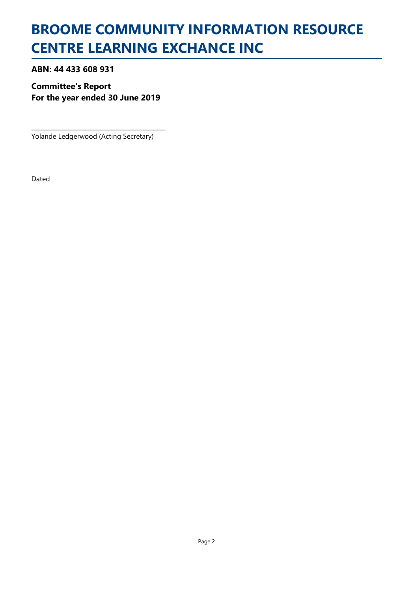### **ABN: 44 433 608 931**

**Committee's Report For the year ended 30 June 2019**

Yolande Ledgerwood (Acting Secretary)

\_\_\_\_\_\_\_\_\_\_\_\_\_\_\_\_\_\_\_\_\_\_\_\_\_\_\_\_\_\_\_\_\_\_\_\_\_\_\_\_\_\_\_\_\_\_

Dated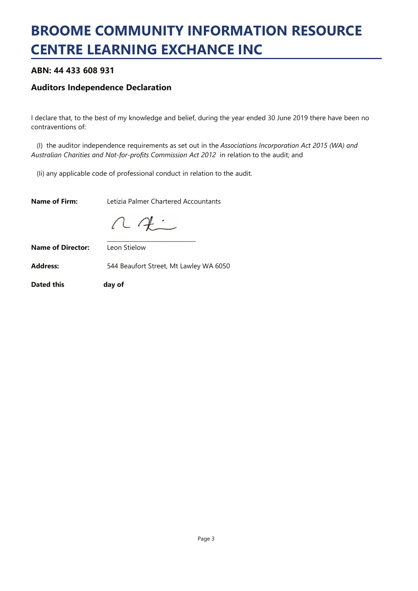### ABN: 44 433 608 931

### **Auditors Independence Declaration**

I declare that, to the best of my knowledge and belief, during the year ended 30 June 2019 there have been no contraventions of:

(I) the auditor independence requirements as set out in the Associations Incorporation Act 2015 (WA) and Australian Charities and Not-for-profits Commission Act 2012 in relation to the audit; and

(li) any applicable code of professional conduct in relation to the audit.

| Name of Firm:                         | Letizia Palmer Chartered Accountants |
|---------------------------------------|--------------------------------------|
|                                       | $A^2$                                |
| <b>Name of Director:</b> Leon Stielow |                                      |
|                                       | $\blacksquare$                       |

**Address:** 544 Beaufort Street, Mt Lawley WA 6050

**Dated this** day of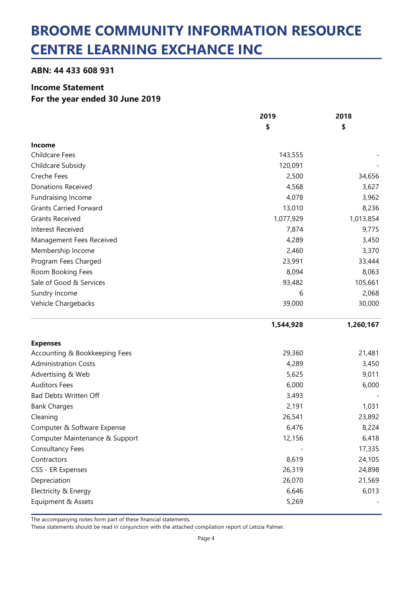### ABN: 44 433 608 931

### **Income Statement**

### For the year ended 30 June 2019

|                                | 2019      | 2018      |
|--------------------------------|-----------|-----------|
|                                | \$        | \$        |
| Income                         |           |           |
| <b>Childcare Fees</b>          | 143,555   |           |
| Childcare Subsidy              | 120,091   |           |
| <b>Creche Fees</b>             | 2,500     | 34,656    |
| <b>Donations Received</b>      | 4,568     | 3,627     |
| Fundraising Income             | 4,078     | 3,962     |
| <b>Grants Carried Forward</b>  | 13,010    | 8,236     |
| <b>Grants Received</b>         | 1,077,929 | 1,013,854 |
| <b>Interest Received</b>       | 7,874     | 9,775     |
| Management Fees Received       | 4,289     | 3,450     |
| Membership Income              | 2,460     | 3,370     |
| Program Fees Charged           | 23,991    | 33,444    |
| Room Booking Fees              | 8,094     | 8,063     |
| Sale of Good & Services        | 93,482    | 105,661   |
| Sundry Income                  | 6         | 2,068     |
| Vehicle Chargebacks            | 39,000    | 30,000    |
|                                | 1,544,928 | 1,260,167 |
| <b>Expenses</b>                |           |           |
| Accounting & Bookkeeping Fees  | 29,360    | 21,481    |
| <b>Administration Costs</b>    | 4,289     | 3,450     |
| Advertising & Web              | 5,625     | 9,011     |
| <b>Auditors Fees</b>           | 6,000     | 6,000     |
| Bad Debts Written Off          | 3,493     |           |
| <b>Bank Charges</b>            | 2,191     | 1,031     |
| Cleaning                       | 26,541    | 23,892    |
| Computer & Software Expense    | 6,476     | 8,224     |
| Computer Maintenance & Support | 12,156    | 6,418     |
| <b>Consultancy Fees</b>        |           | 17,335    |
| Contractors                    | 8,619     | 24,105    |
| CSS - ER Expenses              | 26,319    | 24,898    |
| Depreciation                   | 26,070    | 21,569    |
| Electricity & Energy           | 6,646     | 6,013     |
| Equipment & Assets             | 5,269     |           |

The accompanying notes form part of these financial statements.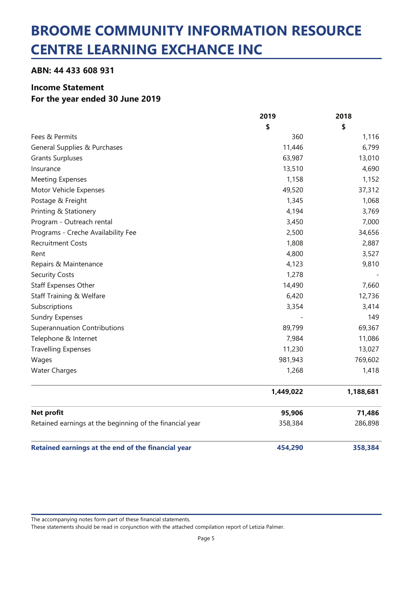### ABN: 44 433 608 931

### **Income Statement**

### For the year ended 30 June 2019

|                                                          | 2019      | 2018      |
|----------------------------------------------------------|-----------|-----------|
|                                                          | \$        | \$        |
| Fees & Permits                                           | 360       | 1,116     |
| General Supplies & Purchases                             | 11,446    | 6,799     |
| <b>Grants Surpluses</b>                                  | 63,987    | 13,010    |
| Insurance                                                | 13,510    | 4,690     |
| <b>Meeting Expenses</b>                                  | 1,158     | 1,152     |
| Motor Vehicle Expenses                                   | 49,520    | 37,312    |
| Postage & Freight                                        | 1,345     | 1,068     |
| Printing & Stationery                                    | 4,194     | 3,769     |
| Program - Outreach rental                                | 3,450     | 7,000     |
| Programs - Creche Availability Fee                       | 2,500     | 34,656    |
| <b>Recruitment Costs</b>                                 | 1,808     | 2,887     |
| Rent                                                     | 4,800     | 3,527     |
| Repairs & Maintenance                                    | 4,123     | 9,810     |
| <b>Security Costs</b>                                    | 1,278     |           |
| <b>Staff Expenses Other</b>                              | 14,490    | 7,660     |
| Staff Training & Welfare                                 | 6,420     | 12,736    |
| Subscriptions                                            | 3,354     | 3,414     |
| <b>Sundry Expenses</b>                                   |           | 149       |
| Superannuation Contributions                             | 89,799    | 69,367    |
| Telephone & Internet                                     | 7,984     | 11,086    |
| <b>Travelling Expenses</b>                               | 11,230    | 13,027    |
| Wages                                                    | 981,943   | 769,602   |
| <b>Water Charges</b>                                     | 1,268     | 1,418     |
|                                                          | 1,449,022 | 1,188,681 |
| <b>Net profit</b>                                        | 95,906    | 71,486    |
| Retained earnings at the beginning of the financial year | 358,384   | 286,898   |
| Retained earnings at the end of the financial year       | 454,290   | 358,384   |

The accompanying notes form part of these financial statements.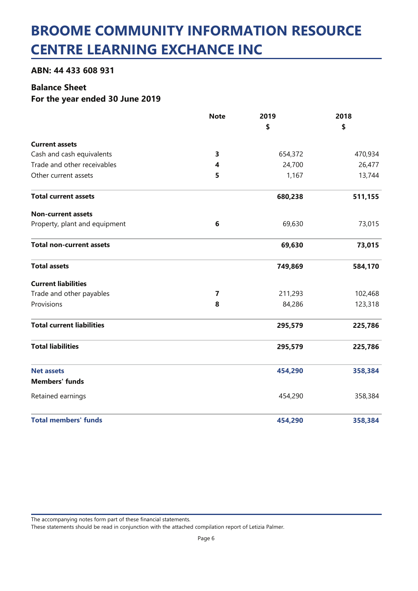### ABN: 44 433 608 931

#### **Balance Sheet**

### For the year ended 30 June 2019

|                                  | <b>Note</b> | 2019    | 2018    |
|----------------------------------|-------------|---------|---------|
|                                  |             | \$      | \$      |
| <b>Current assets</b>            |             |         |         |
| Cash and cash equivalents        | 3           | 654,372 | 470,934 |
| Trade and other receivables      | 4           | 24,700  | 26,477  |
| Other current assets             | 5           | 1,167   | 13,744  |
| <b>Total current assets</b>      |             | 680,238 | 511,155 |
| <b>Non-current assets</b>        |             |         |         |
| Property, plant and equipment    | $\bf 6$     | 69,630  | 73,015  |
| <b>Total non-current assets</b>  |             | 69,630  | 73,015  |
| <b>Total assets</b>              |             | 749,869 | 584,170 |
| <b>Current liabilities</b>       |             |         |         |
| Trade and other payables         | 7           | 211,293 | 102,468 |
| Provisions                       | 8           | 84,286  | 123,318 |
| <b>Total current liabilities</b> |             | 295,579 | 225,786 |
| <b>Total liabilities</b>         |             | 295,579 | 225,786 |
| <b>Net assets</b>                |             | 454,290 | 358,384 |
| <b>Members' funds</b>            |             |         |         |
| Retained earnings                |             | 454,290 | 358,384 |
| <b>Total members' funds</b>      |             | 454,290 | 358,384 |

The accompanying notes form part of these financial statements.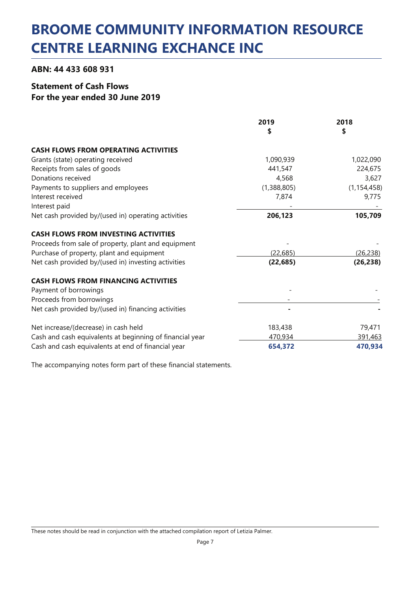### ABN: 44 433 608 931

### **Statement of Cash Flows** For the year ended 30 June 2019

|                                                          | 2019<br>S   | 2018<br>\$    |
|----------------------------------------------------------|-------------|---------------|
| <b>CASH FLOWS FROM OPERATING ACTIVITIES</b>              |             |               |
| Grants (state) operating received                        | 1,090,939   | 1,022,090     |
| Receipts from sales of goods                             | 441,547     | 224,675       |
| Donations received                                       | 4,568       | 3,627         |
| Payments to suppliers and employees                      | (1,388,805) | (1, 154, 458) |
| Interest received                                        | 7,874       | 9,775         |
| Interest paid                                            |             |               |
| Net cash provided by/(used in) operating activities      | 206,123     | 105,709       |
| <b>CASH FLOWS FROM INVESTING ACTIVITIES</b>              |             |               |
| Proceeds from sale of property, plant and equipment      |             |               |
| Purchase of property, plant and equipment                | (22, 685)   | (26, 238)     |
| Net cash provided by/(used in) investing activities      | (22, 685)   | (26, 238)     |
| <b>CASH FLOWS FROM FINANCING ACTIVITIES</b>              |             |               |
| Payment of borrowings                                    |             |               |
| Proceeds from borrowings                                 |             |               |
| Net cash provided by/(used in) financing activities      |             |               |
| Net increase/(decrease) in cash held                     | 183,438     | 79,471        |
| Cash and cash equivalents at beginning of financial year | 470,934     | 391,463       |
| Cash and cash equivalents at end of financial year       | 654,372     | 470,934       |

The accompanying notes form part of these financial statements.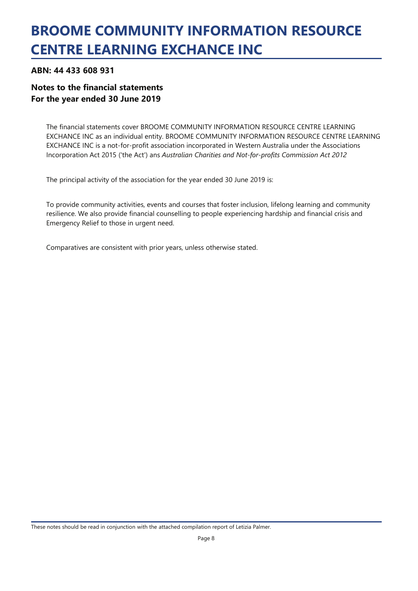### ABN: 44 433 608 931

### Notes to the financial statements For the year ended 30 June 2019

The financial statements cover BROOME COMMUNITY INFORMATION RESOURCE CENTRE LEARNING EXCHANCE INC as an individual entity. BROOME COMMUNITY INFORMATION RESOURCE CENTRE LEARNING EXCHANCE INC is a not-for-profit association incorporated in Western Australia under the Associations Incorporation Act 2015 ('the Act') ans Australian Charities and Not-for-profits Commission Act 2012

The principal activity of the association for the year ended 30 June 2019 is:

To provide community activities, events and courses that foster inclusion, lifelong learning and community resilience. We also provide financial counselling to people experiencing hardship and financial crisis and Emergency Relief to those in urgent need.

Comparatives are consistent with prior years, unless otherwise stated.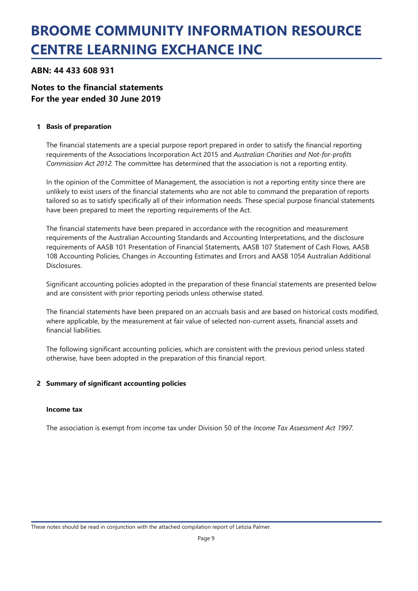### ABN: 44 433 608 931

### Notes to the financial statements For the year ended 30 June 2019

#### 1 Basis of preparation

The financial statements are a special purpose report prepared in order to satisfy the financial reporting requirements of the Associations Incorporation Act 2015 and Australian Charities and Not-for-profits Commission Act 2012. The committee has determined that the association is not a reporting entity.

In the opinion of the Committee of Management, the association is not a reporting entity since there are unlikely to exist users of the financial statements who are not able to command the preparation of reports tailored so as to satisfy specifically all of their information needs. These special purpose financial statements have been prepared to meet the reporting requirements of the Act.

The financial statements have been prepared in accordance with the recognition and measurement requirements of the Australian Accounting Standards and Accounting Interpretations, and the disclosure requirements of AASB 101 Presentation of Financial Statements, AASB 107 Statement of Cash Flows, AASB 108 Accounting Policies, Changes in Accounting Estimates and Errors and AASB 1054 Australian Additional Disclosures.

Significant accounting policies adopted in the preparation of these financial statements are presented below and are consistent with prior reporting periods unless otherwise stated.

The financial statements have been prepared on an accruals basis and are based on historical costs modified. where applicable, by the measurement at fair value of selected non-current assets, financial assets and financial liabilities.

The following significant accounting policies, which are consistent with the previous period unless stated otherwise, have been adopted in the preparation of this financial report.

#### 2 Summary of significant accounting policies

#### Income tax

The association is exempt from income tax under Division 50 of the *Income Tax Assessment Act 1997*.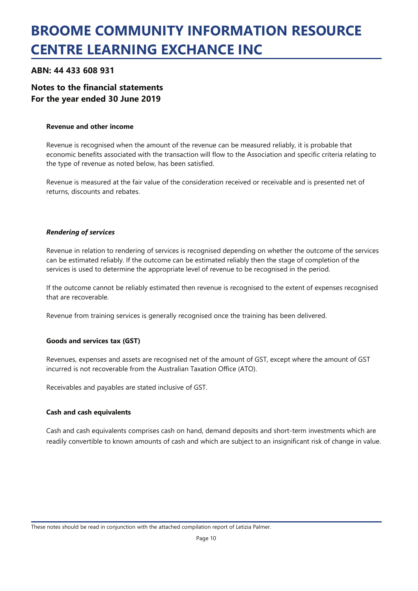### ABN: 44 433 608 931

### Notes to the financial statements For the year ended 30 June 2019

#### **Revenue and other income**

Revenue is recognised when the amount of the revenue can be measured reliably, it is probable that economic benefits associated with the transaction will flow to the Association and specific criteria relating to the type of revenue as noted below, has been satisfied.

Revenue is measured at the fair value of the consideration received or receivable and is presented net of returns, discounts and rebates.

#### **Rendering of services**

Revenue in relation to rendering of services is recognised depending on whether the outcome of the services can be estimated reliably. If the outcome can be estimated reliably then the stage of completion of the services is used to determine the appropriate level of revenue to be recognised in the period.

If the outcome cannot be reliably estimated then revenue is recognised to the extent of expenses recognised that are recoverable.

Revenue from training services is generally recognised once the training has been delivered.

#### **Goods and services tax (GST)**

Revenues, expenses and assets are recognised net of the amount of GST, except where the amount of GST incurred is not recoverable from the Australian Taxation Office (ATO).

Receivables and payables are stated inclusive of GST.

#### **Cash and cash equivalents**

Cash and cash equivalents comprises cash on hand, demand deposits and short-term investments which are readily convertible to known amounts of cash and which are subject to an insignificant risk of change in value.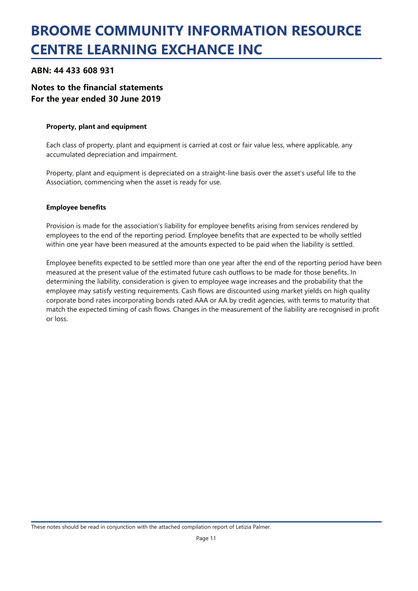### ABN: 44 433 608 931

### **Notes to the financial statements** For the year ended 30 June 2019

#### Property, plant and equipment

Each class of property, plant and equipment is carried at cost or fair value less, where applicable, any accumulated depreciation and impairment.

Property, plant and equipment is depreciated on a straight-line basis over the asset's useful life to the Association, commencing when the asset is ready for use.

#### **Employee benefits**

Provision is made for the association's liability for employee benefits arising from services rendered by employees to the end of the reporting period. Employee benefits that are expected to be wholly settled within one year have been measured at the amounts expected to be paid when the liability is settled.

Employee benefits expected to be settled more than one year after the end of the reporting period have been measured at the present value of the estimated future cash outflows to be made for those benefits. In determining the liability, consideration is given to employee wage increases and the probability that the employee may satisfy vesting requirements. Cash flows are discounted using market yields on high quality corporate bond rates incorporating bonds rated AAA or AA by credit agencies, with terms to maturity that match the expected timing of cash flows. Changes in the measurement of the liability are recognised in profit or loss.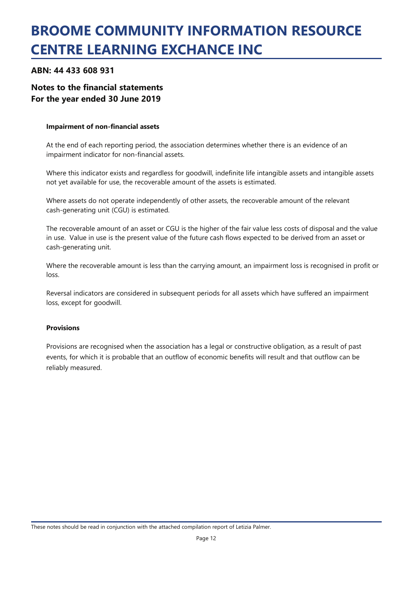### ABN: 44 433 608 931

### **Notes to the financial statements** For the year ended 30 June 2019

#### **Impairment of non-financial assets**

At the end of each reporting period, the association determines whether there is an evidence of an impairment indicator for non-financial assets.

Where this indicator exists and regardless for goodwill, indefinite life intangible assets and intangible assets not yet available for use, the recoverable amount of the assets is estimated.

Where assets do not operate independently of other assets, the recoverable amount of the relevant cash-generating unit (CGU) is estimated.

The recoverable amount of an asset or CGU is the higher of the fair value less costs of disposal and the value in use. Value in use is the present value of the future cash flows expected to be derived from an asset or cash-generating unit.

Where the recoverable amount is less than the carrying amount, an impairment loss is recognised in profit or loss.

Reversal indicators are considered in subsequent periods for all assets which have suffered an impairment loss, except for goodwill.

#### **Provisions**

Provisions are recognised when the association has a legal or constructive obligation, as a result of past events, for which it is probable that an outflow of economic benefits will result and that outflow can be reliably measured.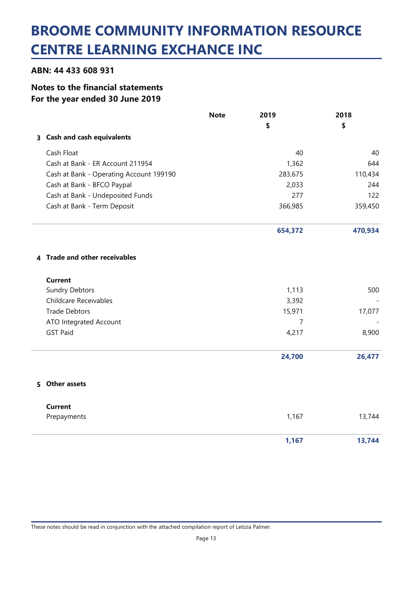### ABN: 44 433 608 931

### Notes to the financial statements For the year ended 30 June 2019

|                                         | <b>Note</b> | 2019           | 2018    |
|-----------------------------------------|-------------|----------------|---------|
|                                         |             | \$             | \$      |
| 3 Cash and cash equivalents             |             |                |         |
| Cash Float                              |             | 40             | 40      |
| Cash at Bank - ER Account 211954        |             | 1,362          | 644     |
| Cash at Bank - Operating Account 199190 |             | 283,675        | 110,434 |
| Cash at Bank - BFCO Paypal              |             | 2,033          | 244     |
| Cash at Bank - Undeposited Funds        |             | 277            | 122     |
| Cash at Bank - Term Deposit             |             | 366,985        | 359,450 |
|                                         |             | 654,372        | 470,934 |
| 4 Trade and other receivables           |             |                |         |
| <b>Current</b>                          |             |                |         |
| <b>Sundry Debtors</b>                   |             | 1,113          | 500     |
| <b>Childcare Receivables</b>            |             | 3,392          |         |
| <b>Trade Debtors</b>                    |             | 15,971         | 17,077  |
| ATO Integrated Account                  |             | $\overline{7}$ |         |
| <b>GST Paid</b>                         |             | 4,217          | 8,900   |
|                                         |             | 24,700         | 26,477  |
| 5 Other assets                          |             |                |         |
| <b>Current</b>                          |             |                |         |
| Prepayments                             |             | 1,167          | 13,744  |
|                                         |             | 1,167          | 13,744  |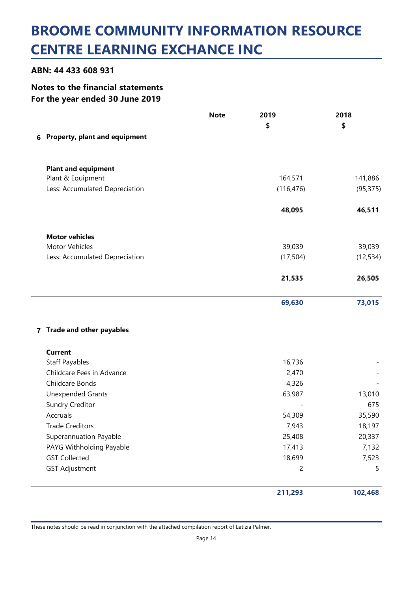### ABN: 44 433 608 931

### Notes to the financial statements For the year ended 30 June 2019

|                                           | <b>Note</b> | 2019<br>\$     | 2018<br>\$ |
|-------------------------------------------|-------------|----------------|------------|
| <b>Property, plant and equipment</b><br>6 |             |                |            |
| <b>Plant and equipment</b>                |             |                |            |
| Plant & Equipment                         |             | 164,571        | 141,886    |
| Less: Accumulated Depreciation            |             | (116, 476)     | (95, 375)  |
|                                           |             | 48,095         | 46,511     |
| <b>Motor vehicles</b>                     |             |                |            |
| <b>Motor Vehicles</b>                     |             | 39,039         | 39,039     |
| Less: Accumulated Depreciation            |             | (17, 504)      | (12, 534)  |
|                                           |             | 21,535         | 26,505     |
|                                           |             | 69,630         | 73,015     |
| <b>Trade and other payables</b><br>7      |             |                |            |
| <b>Current</b>                            |             |                |            |
| Staff Payables                            |             | 16,736         |            |
| Childcare Fees in Advance                 |             | 2,470          |            |
| Childcare Bonds                           |             | 4,326          |            |
| <b>Unexpended Grants</b>                  |             | 63,987         | 13,010     |
| <b>Sundry Creditor</b>                    |             |                | 675        |
| Accruals                                  |             | 54,309         | 35,590     |
| <b>Trade Creditors</b>                    |             | 7,943          | 18,197     |
| Superannuation Payable                    |             | 25,408         | 20,337     |
| PAYG Withholding Payable                  |             | 17,413         | 7,132      |
| <b>GST Collected</b>                      |             | 18,699         | 7,523      |
| <b>GST Adjustment</b>                     |             | $\overline{c}$ | 5          |
|                                           |             | 211,293        | 102,468    |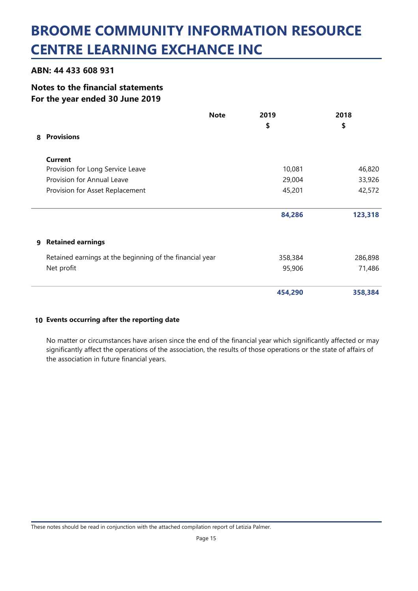### ABN: 44 433 608 931

### Notes to the financial statements For the year ended 30 June 2019

|   |                                                          | <b>Note</b> | 2019<br>\$ | 2018<br>\$ |
|---|----------------------------------------------------------|-------------|------------|------------|
| 8 | <b>Provisions</b>                                        |             |            |            |
|   | <b>Current</b>                                           |             |            |            |
|   | Provision for Long Service Leave                         |             | 10,081     | 46,820     |
|   | Provision for Annual Leave                               |             | 29,004     | 33,926     |
|   | Provision for Asset Replacement                          |             | 45,201     | 42,572     |
|   |                                                          |             | 84,286     | 123,318    |
| 9 | <b>Retained earnings</b>                                 |             |            |            |
|   | Retained earnings at the beginning of the financial year |             | 358,384    | 286,898    |
|   | Net profit                                               |             | 95,906     | 71,486     |
|   |                                                          |             | 454,290    | 358,384    |

#### 10 Events occurring after the reporting date

No matter or circumstances have arisen since the end of the financial year which significantly affected or may significantly affect the operations of the association, the results of those operations or the state of affairs of the association in future financial years.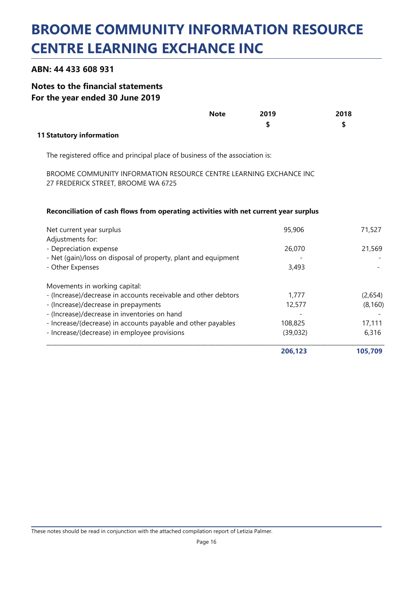### ABN: 44 433 608 931

### Notes to the financial statements

For the year ended 30 June 2019

| <b>Note</b> | 2019 | 2018 |
|-------------|------|------|
|             | æ    | ⋑    |

#### **11 Statutory information**

The registered office and principal place of business of the association is:

BROOME COMMUNITY INFORMATION RESOURCE CENTRE LEARNING EXCHANCE INC 27 FREDERICK STREET, BROOME WA 6725

#### Reconciliation of cash flows from operating activities with net current year surplus

|                                                                | 206,123  | 105.709  |
|----------------------------------------------------------------|----------|----------|
| - Increase/(decrease) in employee provisions                   | (39,032) | 6,316    |
| - Increase/(decrease) in accounts payable and other payables   | 108,825  | 17,111   |
| - (Increase)/decrease in inventories on hand                   |          |          |
| - (Increase)/decrease in prepayments                           | 12,577   | (8, 160) |
| - (Increase)/decrease in accounts receivable and other debtors | 1.777    | (2,654)  |
| Movements in working capital:                                  |          |          |
| - Other Expenses                                               | 3,493    |          |
| - Net (gain)/loss on disposal of property, plant and equipment |          |          |
| - Depreciation expense                                         | 26,070   | 21,569   |
| Adjustments for:                                               |          |          |
| Net current year surplus                                       | 95,906   | 71,527   |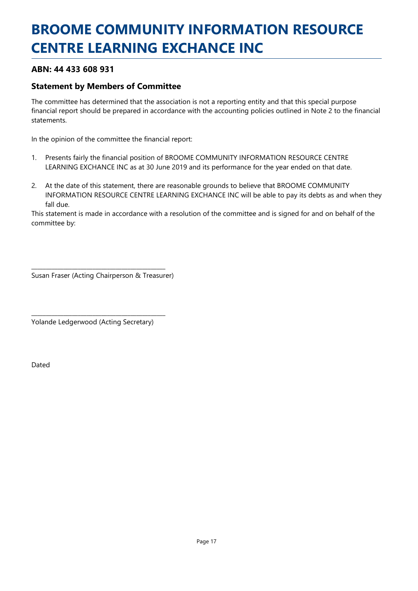### **ABN: 44 433 608 931**

### **Statement by Members of Committee**

The committee has determined that the association is not a reporting entity and that this special purpose financial report should be prepared in accordance with the accounting policies outlined in Note 2 to the financial statements.

In the opinion of the committee the financial report:

- 1. Presents fairly the financial position of BROOME COMMUNITY INFORMATION RESOURCE CENTRE LEARNING EXCHANCE INC as at 30 June 2019 and its performance for the year ended on that date.
- 2. At the date of this statement, there are reasonable grounds to believe that BROOME COMMUNITY INFORMATION RESOURCE CENTRE LEARNING EXCHANCE INC will be able to pay its debts as and when they fall due.

This statement is made in accordance with a resolution of the committee and is signed for and on behalf of the committee by:

\_\_\_\_\_\_\_\_\_\_\_\_\_\_\_\_\_\_\_\_\_\_\_\_\_\_\_\_\_\_\_\_\_\_\_\_\_\_\_\_\_\_\_\_\_\_ Susan Fraser (Acting Chairperson & Treasurer)

Yolande Ledgerwood (Acting Secretary)

\_\_\_\_\_\_\_\_\_\_\_\_\_\_\_\_\_\_\_\_\_\_\_\_\_\_\_\_\_\_\_\_\_\_\_\_\_\_\_\_\_\_\_\_\_\_

Dated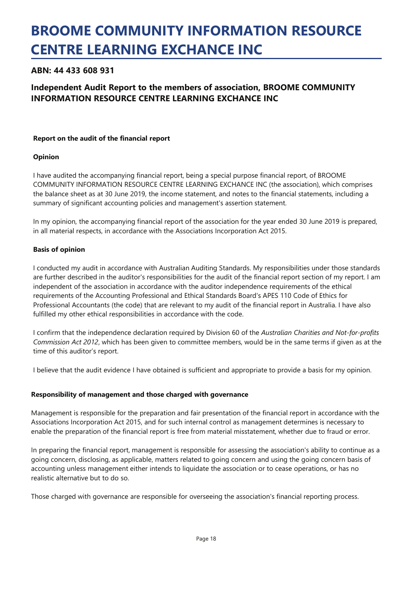### ABN: 44 433 608 931

### Independent Audit Report to the members of association, BROOME COMMUNITY **INFORMATION RESOURCE CENTRE LEARNING EXCHANCE INC**

#### Report on the audit of the financial report

#### **Opinion**

I have audited the accompanying financial report, being a special purpose financial report, of BROOME COMMUNITY INFORMATION RESOURCE CENTRE LEARNING EXCHANCE INC (the association), which comprises the balance sheet as at 30 June 2019, the income statement, and notes to the financial statements, including a summary of significant accounting policies and management's assertion statement.

In my opinion, the accompanying financial report of the association for the year ended 30 June 2019 is prepared, in all material respects, in accordance with the Associations Incorporation Act 2015.

#### **Basis of opinion**

I conducted my audit in accordance with Australian Auditing Standards. My responsibilities under those standards are further described in the auditor's responsibilities for the audit of the financial report section of my report. I am independent of the association in accordance with the auditor independence requirements of the ethical requirements of the Accounting Professional and Ethical Standards Board's APES 110 Code of Ethics for Professional Accountants (the code) that are relevant to my audit of the financial report in Australia. I have also fulfilled my other ethical responsibilities in accordance with the code.

I confirm that the independence declaration required by Division 60 of the Australian Charities and Not-for-profits Commission Act 2012, which has been given to committee members, would be in the same terms if given as at the time of this auditor's report.

I believe that the audit evidence I have obtained is sufficient and appropriate to provide a basis for my opinion.

#### Responsibility of management and those charged with governance

Management is responsible for the preparation and fair presentation of the financial report in accordance with the Associations Incorporation Act 2015, and for such internal control as management determines is necessary to enable the preparation of the financial report is free from material misstatement, whether due to fraud or error.

In preparing the financial report, management is responsible for assessing the association's ability to continue as a going concern, disclosing, as applicable, matters related to going concern and using the going concern basis of accounting unless management either intends to liquidate the association or to cease operations, or has no realistic alternative but to do so.

Those charged with governance are responsible for overseeing the association's financial reporting process.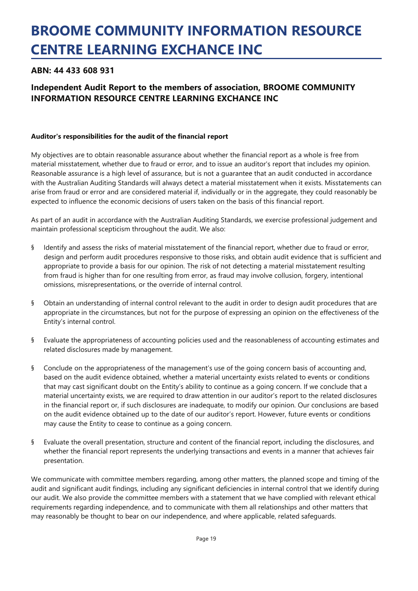### ABN: 44 433 608 931

### Independent Audit Report to the members of association, BROOME COMMUNITY **INFORMATION RESOURCE CENTRE LEARNING EXCHANCE INC.**

#### Auditor's responsibilities for the audit of the financial report

My objectives are to obtain reasonable assurance about whether the financial report as a whole is free from material misstatement, whether due to fraud or error, and to issue an auditor's report that includes my opinion. Reasonable assurance is a high level of assurance, but is not a quarantee that an audit conducted in accordance with the Australian Auditing Standards will always detect a material misstatement when it exists. Misstatements can arise from fraud or error and are considered material if, individually or in the aggregate, they could reasonably be expected to influence the economic decisions of users taken on the basis of this financial report.

As part of an audit in accordance with the Australian Auditing Standards, we exercise professional judgement and maintain professional scepticism throughout the audit. We also:

- $\S$ Identify and assess the risks of material misstatement of the financial report, whether due to fraud or error, design and perform audit procedures responsive to those risks, and obtain audit evidence that is sufficient and appropriate to provide a basis for our opinion. The risk of not detecting a material misstatement resulting from fraud is higher than for one resulting from error, as fraud may involve collusion, forgery, intentional omissions, misrepresentations, or the override of internal control.
- $\S$ Obtain an understanding of internal control relevant to the audit in order to design audit procedures that are appropriate in the circumstances, but not for the purpose of expressing an opinion on the effectiveness of the Entity's internal control.
- $\S$ Evaluate the appropriateness of accounting policies used and the reasonableness of accounting estimates and related disclosures made by management.
- $\S$ Conclude on the appropriateness of the management's use of the going concern basis of accounting and, based on the audit evidence obtained, whether a material uncertainty exists related to events or conditions that may cast significant doubt on the Entity's ability to continue as a going concern. If we conclude that a material uncertainty exists, we are required to draw attention in our auditor's report to the related disclosures in the financial report or, if such disclosures are inadequate, to modify our opinion. Our conclusions are based on the audit evidence obtained up to the date of our auditor's report. However, future events or conditions may cause the Entity to cease to continue as a going concern.
- $\S$ Evaluate the overall presentation, structure and content of the financial report, including the disclosures, and whether the financial report represents the underlying transactions and events in a manner that achieves fair presentation.

We communicate with committee members regarding, among other matters, the planned scope and timing of the audit and significant audit findings, including any significant deficiencies in internal control that we identify during our audit. We also provide the committee members with a statement that we have complied with relevant ethical requirements regarding independence, and to communicate with them all relationships and other matters that may reasonably be thought to bear on our independence, and where applicable, related safeguards.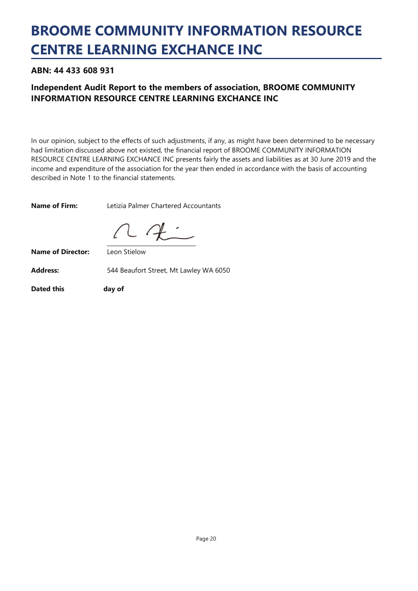### ABN: 44 433 608 931

**Dated this** 

### Independent Audit Report to the members of association, BROOME COMMUNITY **INFORMATION RESOURCE CENTRE LEARNING EXCHANCE INC.**

In our opinion, subject to the effects of such adjustments, if any, as might have been determined to be necessary had limitation discussed above not existed, the financial report of BROOME COMMUNITY INFORMATION RESOURCE CENTRE LEARNING EXCHANCE INC presents fairly the assets and liabilities as at 30 June 2019 and the income and expenditure of the association for the year then ended in accordance with the basis of accounting described in Note 1 to the financial statements.

| Letizia Palmer Chartered Accountants   |
|----------------------------------------|
| (LA)                                   |
| Leon Stielow                           |
| 544 Beaufort Street, Mt Lawley WA 6050 |
|                                        |

day of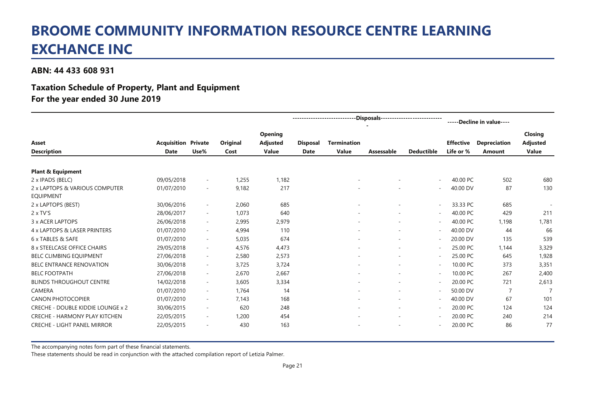### ABN: 44 433 608 931

### **Taxation Schedule of Property, Plant and Equipment** For the year ended 30 June 2019

|                                                    |                                           |                          |                  |                                            | ---------------------------Disposals-------------------------- |                             |                          |                          | -----Decline in value----     |                               |                                            |
|----------------------------------------------------|-------------------------------------------|--------------------------|------------------|--------------------------------------------|----------------------------------------------------------------|-----------------------------|--------------------------|--------------------------|-------------------------------|-------------------------------|--------------------------------------------|
| Asset<br><b>Description</b>                        | <b>Acquisition Private</b><br><b>Date</b> | Use%                     | Original<br>Cost | <b>Opening</b><br><b>Adjusted</b><br>Value | <b>Disposal</b><br><b>Date</b>                                 | <b>Termination</b><br>Value | Assessable               | <b>Deductible</b>        | <b>Effective</b><br>Life or % | <b>Depreciation</b><br>Amount | <b>Closing</b><br><b>Adjusted</b><br>Value |
| <b>Plant &amp; Equipment</b>                       |                                           |                          |                  |                                            |                                                                |                             |                          |                          |                               |                               |                                            |
| 2 x IPADS (BELC)                                   | 09/05/2018                                | $\overline{\phantom{a}}$ | 1,255            | 1.182                                      |                                                                |                             | $\overline{\phantom{a}}$ | $\sim$                   | 40.00 PC                      | 502                           | 680                                        |
| 2 x LAPTOPS & VARIOUS COMPUTER<br><b>EQUIPMENT</b> | 01/07/2010                                | $\overline{\phantom{a}}$ | 9,182            | 217                                        |                                                                |                             | ٠                        | ٠                        | 40.00 DV                      | 87                            | 130                                        |
| 2 x LAPTOPS (BEST)                                 | 30/06/2016                                | $\sim$                   | 2,060            | 685                                        |                                                                | $\sim$                      | ٠                        | $\sim$                   | 33.33 PC                      | 685                           | $\overline{\phantom{a}}$                   |
| $2 \times TV'S$                                    | 28/06/2017                                | $\overline{\phantom{a}}$ | 1,073            | 640                                        |                                                                |                             |                          | $\sim$                   | 40.00 PC                      | 429                           | 211                                        |
| 3 x ACER LAPTOPS                                   | 26/06/2018                                | $\overline{\phantom{a}}$ | 2,995            | 2,979                                      |                                                                |                             |                          | $\overline{\phantom{a}}$ | 40.00 PC                      | 1.198                         | 1,781                                      |
| 4 x LAPTOPS & LASER PRINTERS                       | 01/07/2010                                | $\overline{\phantom{a}}$ | 4,994            | 110                                        |                                                                |                             |                          | $\overline{\phantom{a}}$ | 40.00 DV                      | 44                            | 66                                         |
| 6 x TABLES & SAFE                                  | 01/07/2010                                | $\sim$                   | 5,035            | 674                                        |                                                                |                             |                          | $\overline{\phantom{a}}$ | 20.00 DV                      | 135                           | 539                                        |
| 8 x STEELCASE OFFICE CHAIRS                        | 29/05/2018                                | $\overline{\phantom{a}}$ | 4,576            | 4,473                                      |                                                                |                             |                          | $\overline{\phantom{a}}$ | 25.00 PC                      | 1,144                         | 3,329                                      |
| <b>BELC CLIMBING EQUIPMENT</b>                     | 27/06/2018                                | $\overline{\phantom{a}}$ | 2,580            | 2,573                                      |                                                                |                             | ۰                        | $\overline{\phantom{a}}$ | 25.00 PC                      | 645                           | 1,928                                      |
| <b>BELC ENTRANCE RENOVATION</b>                    | 30/06/2018                                | $\overline{\phantom{a}}$ | 3,725            | 3,724                                      |                                                                |                             |                          | $\overline{\phantom{a}}$ | 10.00 PC                      | 373                           | 3,351                                      |
| <b>BELC FOOTPATH</b>                               | 27/06/2018                                | $\sim$                   | 2,670            | 2,667                                      |                                                                |                             | $\overline{a}$           | $\sim$                   | 10.00 PC                      | 267                           | 2,400                                      |
| <b>BLINDS THROUGHOUT CENTRE</b>                    | 14/02/2018                                | $\overline{\phantom{a}}$ | 3,605            | 3,334                                      |                                                                |                             |                          | $\sim$                   | 20.00 PC                      | 721                           | 2,613                                      |
| CAMERA                                             | 01/07/2010                                | $\overline{\phantom{a}}$ | 1,764            | 14                                         |                                                                | $\sim$                      | ۰                        | $\sim$                   | 50.00 DV                      | $\overline{7}$                | $\overline{7}$                             |
| <b>CANON PHOTOCOPIER</b>                           | 01/07/2010                                | $\overline{\phantom{a}}$ | 7,143            | 168                                        |                                                                |                             | ۰                        | $\sim$                   | 40.00 DV                      | 67                            | 101                                        |
| <b>CRECHE - DOUBLE KIDDIE LOUNGE x 2</b>           | 30/06/2015                                | $\overline{\phantom{a}}$ | 620              | 248                                        |                                                                | $\sim$                      | $\overline{\phantom{a}}$ | $\sim$                   | 20.00 PC                      | 124                           | 124                                        |
| <b>CRECHE - HARMONY PLAY KITCHEN</b>               | 22/05/2015                                | $\overline{\phantom{a}}$ | 1,200            | 454                                        |                                                                |                             | ۰                        | $\sim$                   | 20.00 PC                      | 240                           | 214                                        |
| <b>CRECHE - LIGHT PANEL MIRROR</b>                 | 22/05/2015                                | $\overline{\phantom{a}}$ | 430              | 163                                        |                                                                |                             | ۰                        | $\overline{\phantom{a}}$ | 20.00 PC                      | 86                            | 77                                         |

The accompanying notes form part of these financial statements.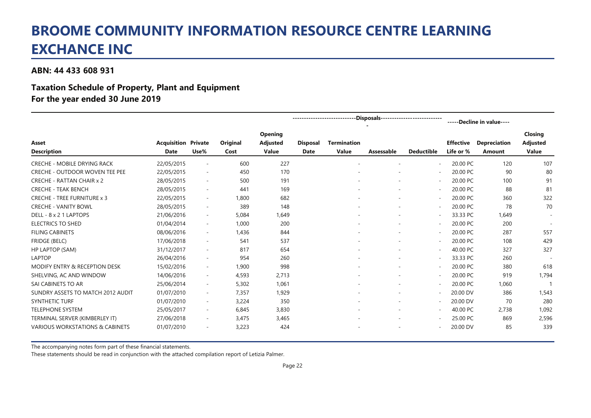### ABN: 44 433 608 931

### **Taxation Schedule of Property, Plant and Equipment** For the year ended 30 June 2019

|                                            |                                           |                          |                         |                                                   | ---------------------------Disposals-------------------------- |                                    |            |                          | -----Decline in value----     |                                      |                                            |
|--------------------------------------------|-------------------------------------------|--------------------------|-------------------------|---------------------------------------------------|----------------------------------------------------------------|------------------------------------|------------|--------------------------|-------------------------------|--------------------------------------|--------------------------------------------|
| Asset<br><b>Description</b>                | <b>Acquisition Private</b><br><b>Date</b> | Use%                     | <b>Original</b><br>Cost | <b>Opening</b><br><b>Adjusted</b><br><b>Value</b> | <b>Disposal</b><br><b>Date</b>                                 | <b>Termination</b><br><b>Value</b> | Assessable | <b>Deductible</b>        | <b>Effective</b><br>Life or % | <b>Depreciation</b><br><b>Amount</b> | <b>Closing</b><br><b>Adjusted</b><br>Value |
| <b>CRECHE - MOBILE DRYING RACK</b>         | 22/05/2015                                | $\overline{\phantom{a}}$ | 600                     | 227                                               |                                                                |                                    |            | $\sim$                   | 20.00 PC                      | 120                                  | 107                                        |
| CRECHE - OUTDOOR WOVEN TEE PEE             | 22/05/2015                                | $\overline{\phantom{m}}$ | 450                     | 170                                               |                                                                |                                    |            | $\sim$                   | 20.00 PC                      | 90                                   | 80                                         |
| <b>CRECHE - RATTAN CHAIR x 2</b>           | 28/05/2015                                | $\overline{\phantom{a}}$ | 500                     | 191                                               |                                                                |                                    |            | $\sim$                   | 20.00 PC                      | 100                                  | 91                                         |
| <b>CRECHE - TEAK BENCH</b>                 | 28/05/2015                                | $\overline{\phantom{a}}$ | 441                     | 169                                               |                                                                |                                    |            | $\sim$                   | 20.00 PC                      | 88                                   | 81                                         |
| <b>CRECHE - TREE FURNITURE x 3</b>         | 22/05/2015                                | $\overline{\phantom{a}}$ | 1,800                   | 682                                               |                                                                |                                    | ٠          | $\sim$                   | 20.00 PC                      | 360                                  | 322                                        |
| <b>CRECHE - VANITY BOWL</b>                | 28/05/2015                                | $\overline{\phantom{m}}$ | 389                     | 148                                               |                                                                |                                    |            | $\sim$                   | 20.00 PC                      | 78                                   | 70                                         |
| DELL - 8 x 2 1 LAPTOPS                     | 21/06/2016                                | $\overline{\phantom{a}}$ | 5,084                   | 1,649                                             |                                                                |                                    | ٠          | $\overline{\phantom{a}}$ | 33.33 PC                      | 1,649                                | $\sim$                                     |
| <b>ELECTRICS TO SHED</b>                   | 01/04/2014                                | $\overline{\phantom{a}}$ | 1,000                   | 200                                               |                                                                |                                    |            | $\sim$                   | 20.00 PC                      | 200                                  | $\overline{\phantom{a}}$                   |
| <b>FILING CABINETS</b>                     | 08/06/2016                                | $\overline{\phantom{a}}$ | 1,436                   | 844                                               |                                                                |                                    | ٠          | $\overline{\phantom{a}}$ | 20.00 PC                      | 287                                  | 557                                        |
| <b>FRIDGE (BELC)</b>                       | 17/06/2018                                | $\overline{\phantom{a}}$ | 541                     | 537                                               |                                                                |                                    |            | $\sim$                   | 20.00 PC                      | 108                                  | 429                                        |
| HP LAPTOP (SAM)                            | 31/12/2017                                | $\overline{\phantom{a}}$ | 817                     | 654                                               |                                                                |                                    |            | $\overline{\phantom{a}}$ | 40.00 PC                      | 327                                  | 327                                        |
| <b>LAPTOP</b>                              | 26/04/2016                                | $\overline{\phantom{a}}$ | 954                     | 260                                               |                                                                |                                    |            | $\sim$                   | 33.33 PC                      | 260                                  |                                            |
| <b>MODIFY ENTRY &amp; RECEPTION DESK</b>   | 15/02/2016                                | $\overline{\phantom{a}}$ | 1,900                   | 998                                               |                                                                |                                    |            | $\overline{\phantom{a}}$ | 20.00 PC                      | 380                                  | 618                                        |
| SHELVING, AC AND WINDOW                    | 14/06/2016                                | $\overline{\phantom{a}}$ | 4,593                   | 2,713                                             |                                                                |                                    |            | $\overline{\phantom{a}}$ | 20.00 PC                      | 919                                  | 1,794                                      |
| SAI CABINETS TO AR                         | 25/06/2014                                | $\overline{\phantom{a}}$ | 5,302                   | 1,061                                             |                                                                |                                    |            | $\overline{a}$           | 20.00 PC                      | 1,060                                |                                            |
| SUNDRY ASSETS TO MATCH 2012 AUDIT          | 01/07/2010                                | $\overline{\phantom{a}}$ | 7,357                   | 1,929                                             |                                                                |                                    |            | $\overline{a}$           | 20.00 DV                      | 386                                  | 1,543                                      |
| <b>SYNTHETIC TURF</b>                      | 01/07/2010                                | $\overline{\phantom{a}}$ | 3,224                   | 350                                               |                                                                |                                    |            | $\sim$                   | 20.00 DV                      | 70                                   | 280                                        |
| <b>TELEPHONE SYSTEM</b>                    | 25/05/2017                                | $\overline{\phantom{a}}$ | 6,845                   | 3,830                                             |                                                                |                                    | ٠          | $\sim$                   | 40.00 PC                      | 2,738                                | 1,092                                      |
| TERMINAL SERVER (KIMBERLEY IT)             | 27/06/2018                                | $\overline{\phantom{a}}$ | 3,475                   | 3,465                                             |                                                                |                                    |            | $\sim$                   | 25.00 PC                      | 869                                  | 2,596                                      |
| <b>VARIOUS WORKSTATIONS &amp; CABINETS</b> | 01/07/2010                                | $\overline{\phantom{m}}$ | 3,223                   | 424                                               |                                                                |                                    |            | ٠                        | 20.00 DV                      | 85                                   | 339                                        |

The accompanying notes form part of these financial statements.